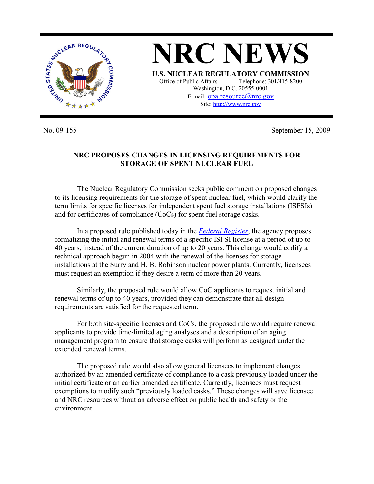

No. 09-155 September 15, 2009

## **NRC PROPOSES CHANGES IN LICENSING REQUIREMENTS FOR STORAGE OF SPENT NUCLEAR FUEL**

 The Nuclear Regulatory Commission seeks public comment on proposed changes to its licensing requirements for the storage of spent nuclear fuel, which would clarify the term limits for specific licenses for independent spent fuel storage installations (ISFSIs) and for certificates of compliance (CoCs) for spent fuel storage casks.

 In a proposed rule published today in the *Federal Register*, the agency proposes formalizing the initial and renewal terms of a specific ISFSI license at a period of up to 40 years, instead of the current duration of up to 20 years. This change would codify a technical approach begun in 2004 with the renewal of the licenses for storage installations at the Surry and H. B. Robinson nuclear power plants. Currently, licensees must request an exemption if they desire a term of more than 20 years.

 Similarly, the proposed rule would allow CoC applicants to request initial and renewal terms of up to 40 years, provided they can demonstrate that all design requirements are satisfied for the requested term.

 For both site-specific licenses and CoCs, the proposed rule would require renewal applicants to provide time-limited aging analyses and a description of an aging management program to ensure that storage casks will perform as designed under the extended renewal terms.

 The proposed rule would also allow general licensees to implement changes authorized by an amended certificate of compliance to a cask previously loaded under the initial certificate or an earlier amended certificate. Currently, licensees must request exemptions to modify such "previously loaded casks." These changes will save licensee and NRC resources without an adverse effect on public health and safety or the environment.